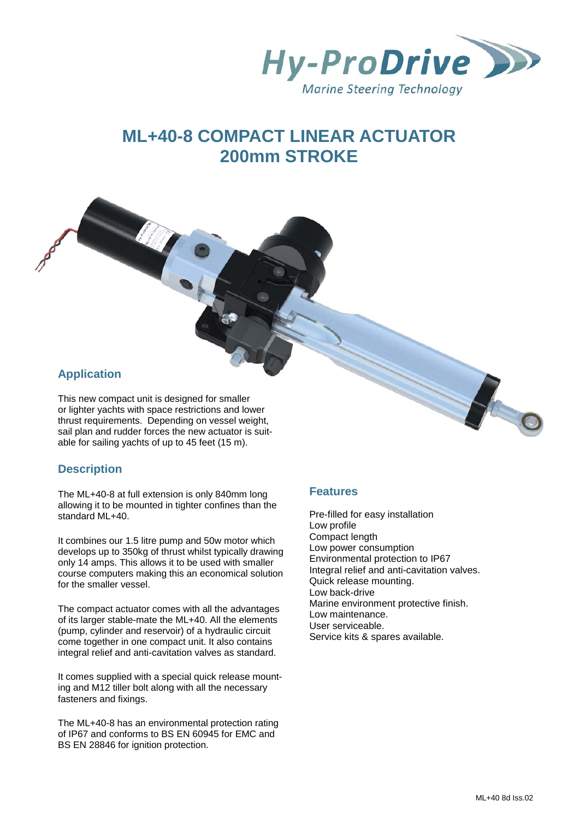

# **ML+40-8 COMPACT LINEAR ACTUATOR 200mm STROKE**

# **Application**

This new compact unit is designed for smaller or lighter yachts with space restrictions and lower thrust requirements. Depending on vessel weight, sail plan and rudder forces the new actuator is suitable for sailing yachts of up to 45 feet (15 m).

## **Description**

The ML+40-8 at full extension is only 840mm long allowing it to be mounted in tighter confines than the standard ML+40.

It combines our 1.5 litre pump and 50w motor which develops up to 350kg of thrust whilst typically drawing only 14 amps. This allows it to be used with smaller course computers making this an economical solution for the smaller vessel.

The compact actuator comes with all the advantages of its larger stable-mate the ML+40. All the elements (pump, cylinder and reservoir) of a hydraulic circuit come together in one compact unit. It also contains integral relief and anti-cavitation valves as standard.

It comes supplied with a special quick release mounting and M12 tiller bolt along with all the necessary fasteners and fixings.

The ML+40-8 has an environmental protection rating of IP67 and conforms to BS EN 60945 for EMC and BS EN 28846 for ignition protection.

### **Features**

Pre-filled for easy installation Low profile Compact length Low power consumption Environmental protection to IP67 Integral relief and anti-cavitation valves. Quick release mounting. Low back-drive Marine environment protective finish. Low maintenance. User serviceable. Service kits & spares available.

10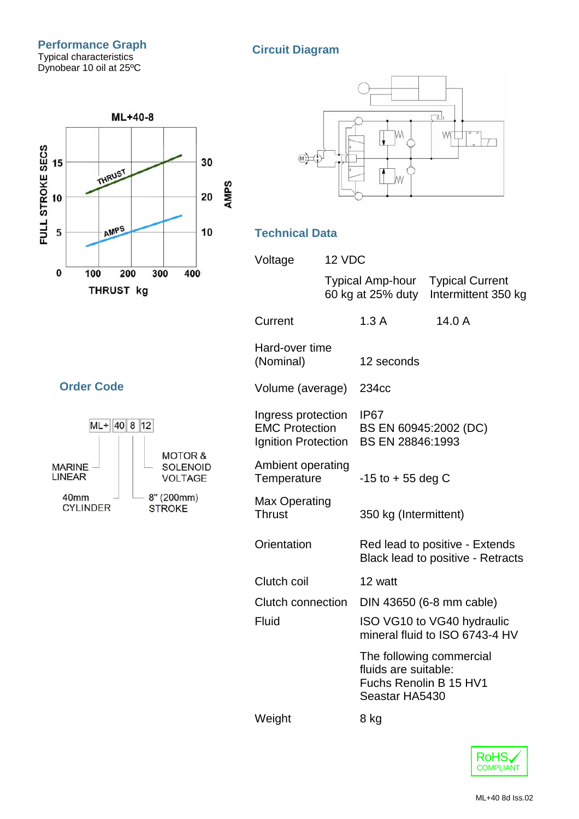



# **Technical Data**

| Voltage                                                            | 12 VDC                                |                                                                     |                                               |
|--------------------------------------------------------------------|---------------------------------------|---------------------------------------------------------------------|-----------------------------------------------|
|                                                                    | Typical Amp-hour<br>60 kg at 25% duty |                                                                     | <b>Typical Current</b><br>Intermittent 350 kg |
| Current                                                            |                                       | 1.3A                                                                | 14.0 A                                        |
| Hard-over time<br>(Nominal)                                        |                                       | 12 seconds                                                          |                                               |
| Volume (average)                                                   |                                       | 234cc                                                               |                                               |
| Ingress protection<br><b>EMC Protection</b><br>Ignition Protection |                                       | IP <sub>67</sub><br>BS EN 60945:2002 (DC)<br>BS EN 28846:1993       |                                               |
| Ambient operating<br>Temperature                                   |                                       | $-15$ to $+55$ deg C                                                |                                               |
| Max Operating<br><b>Thrust</b>                                     |                                       | 350 kg (Intermittent)                                               |                                               |
| Orientation                                                        |                                       | Red lead to positive - Extends<br>Black lead to positive - Retracts |                                               |
| Clutch coil                                                        |                                       | 12 watt                                                             |                                               |
| <b>Clutch connection</b>                                           |                                       | DIN 43650 (6-8 mm cable)                                            |                                               |
| Fluid                                                              |                                       | ISO VG10 to VG40 hydraulic<br>mineral fluid to ISO 6743-4 HV        |                                               |
|                                                                    |                                       | fluids are suitable:<br>Fuchs Renolin B 15 HV1<br>Seastar HA5430    | The following commercial                      |
| Weight                                                             |                                       | 8 kg                                                                |                                               |

# **Order Code**